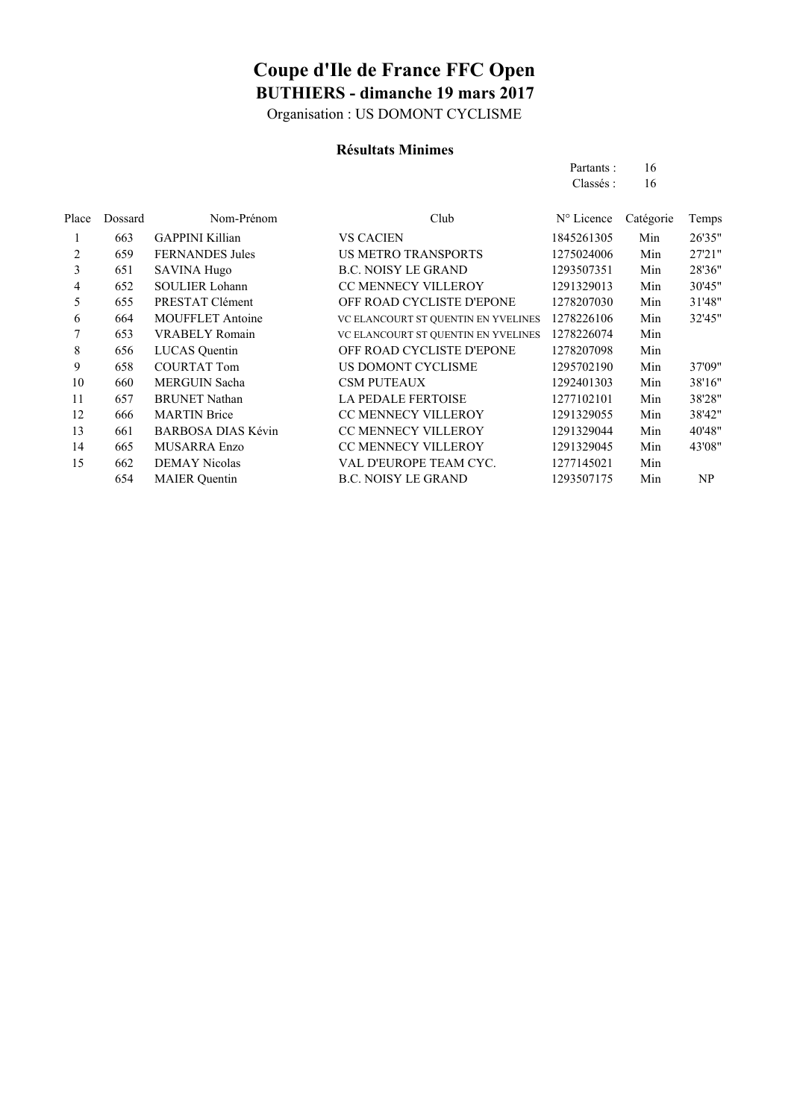Organisation : US DOMONT CYCLISME

### **Résultats Minimes**

| Partants : | 16 |
|------------|----|
| Classés :  | 16 |

| Place | Dossard | Nom-Prénom                | Club                                | $N^{\circ}$ Licence | Catégorie | Temps  |
|-------|---------|---------------------------|-------------------------------------|---------------------|-----------|--------|
|       | 663     | <b>GAPPINI Killian</b>    | <b>VS CACIEN</b>                    | 1845261305          | Min       | 26'35" |
| 2     | 659     | <b>FERNANDES</b> Jules    | <b>US METRO TRANSPORTS</b>          | 1275024006          | Min       | 27'21" |
| 3     | 651     | <b>SAVINA Hugo</b>        | <b>B.C. NOISY LE GRAND</b>          | 1293507351          | Min       | 28'36" |
| 4     | 652     | <b>SOULIER Lohann</b>     | <b>CC MENNECY VILLEROY</b>          | 1291329013          | Min       | 30'45" |
| 5     | 655     | PRESTAT Clément           | OFF ROAD CYCLISTE D'EPONE           | 1278207030          | Min       | 31'48" |
| 6     | 664     | <b>MOUFFLET Antoine</b>   | VC ELANCOURT ST QUENTIN EN YVELINES | 1278226106          | Min       | 32'45" |
|       | 653     | <b>VRABELY Romain</b>     | VC ELANCOURT ST QUENTIN EN YVELINES | 1278226074          | Min       |        |
| 8     | 656     | LUCAS Quentin             | OFF ROAD CYCLISTE D'EPONE           | 1278207098          | Min       |        |
| 9     | 658     | <b>COURTAT Tom</b>        | US DOMONT CYCLISME                  | 1295702190          | Min       | 37'09" |
| 10    | 660     | <b>MERGUIN Sacha</b>      | <b>CSM PUTEAUX</b>                  | 1292401303          | Min       | 38'16" |
| 11    | 657     | <b>BRUNET Nathan</b>      | <b>LA PEDALE FERTOISE</b>           | 1277102101          | Min       | 38'28" |
| 12    | 666     | <b>MARTIN</b> Brice       | <b>CC MENNECY VILLEROY</b>          | 1291329055          | Min       | 38'42" |
| 13    | 661     | <b>BARBOSA DIAS Kévin</b> | <b>CC MENNECY VILLEROY</b>          | 1291329044          | Min       | 40'48" |
| 14    | 665     | <b>MUSARRA Enzo</b>       | <b>CC MENNECY VILLEROY</b>          | 1291329045          | Min       | 43'08" |
| 15    | 662     | <b>DEMAY Nicolas</b>      | VAL D'EUROPE TEAM CYC.              | 1277145021          | Min       |        |
|       | 654     | <b>MAIER</b> Ouentin      | <b>B.C. NOISY LE GRAND</b>          | 1293507175          | Min       | NP     |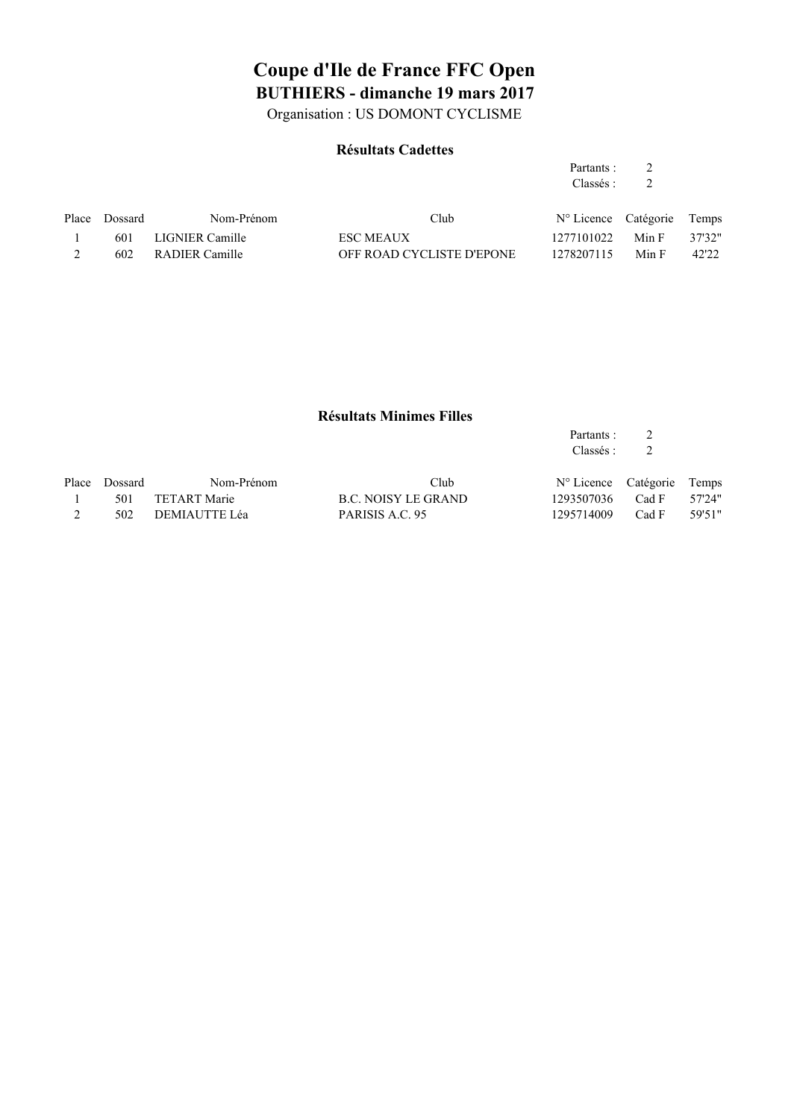Organisation : US DOMONT CYCLISME

#### **Résultats Cadettes**

#### Partants : 2 Classés : 2

| Place Dossard | Nom-Prénom         | Club                      | N° Licence Catégorie Temps |       |        |
|---------------|--------------------|---------------------------|----------------------------|-------|--------|
| 601           | LIGNIER Camille    | <b>ESC MEAUX</b>          | 1277101022                 | Min F | 37'32" |
|               | 602 RADIER Camille | OFF ROAD CYCLISTE D'EPONE | 1278207115                 | Min F | 42'22  |

#### **Résultats Minimes Filles**

| Partants : | 2 |  |
|------------|---|--|
| Classés :  |   |  |
|            |   |  |

| Place Dossard | Nom-Prénom        | Club                | N° Licence Catégorie Temps |              |  |
|---------------|-------------------|---------------------|----------------------------|--------------|--|
|               | 501 TETART Marie  | B.C. NOISY LE GRAND | 1293507036 Cad F 57'24"    |              |  |
|               | 502 DEMIAUTTE Léa | PARISIS A.C. 95     | 1295714009                 | Cad F 59'51" |  |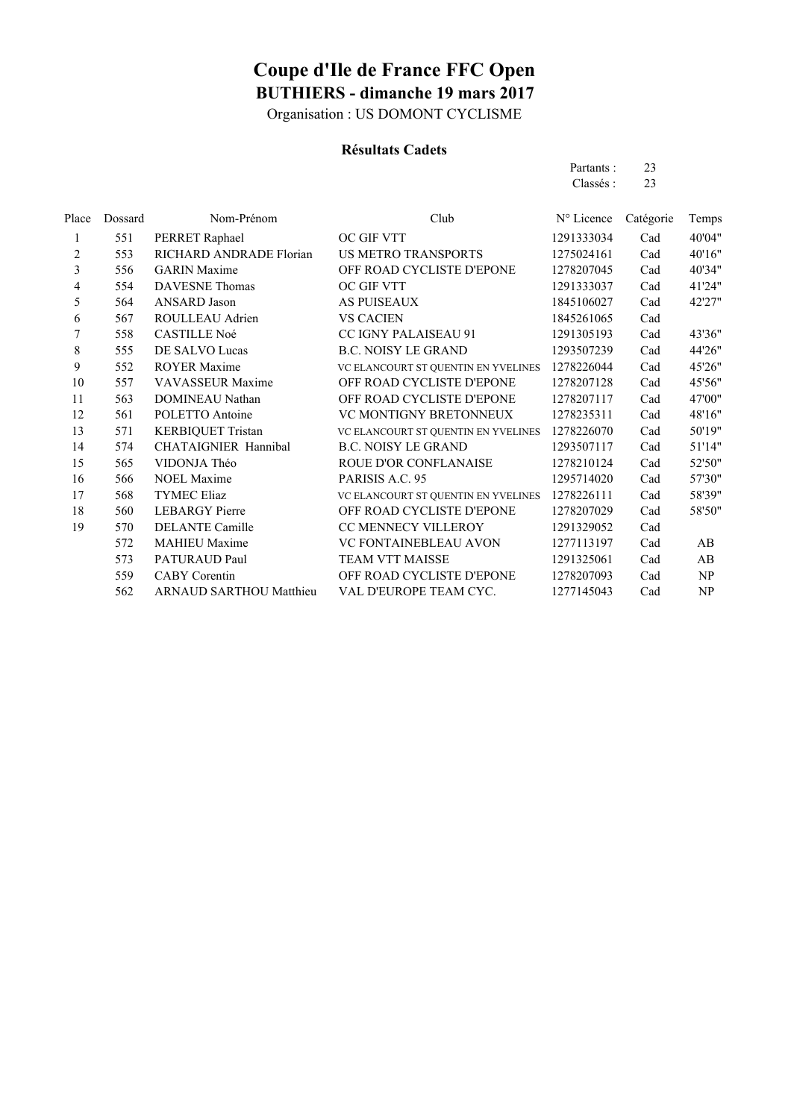Organisation : US DOMONT CYCLISME

#### **Résultats Cadets**

Partants : 23 Classés : 23

| Place  | Dossard | Nom-Prénom                     | Club                                | N° Licence | Catégorie | Temps  |
|--------|---------|--------------------------------|-------------------------------------|------------|-----------|--------|
| 1      | 551     | PERRET Raphael                 | OC GIF VTT                          | 1291333034 | Cad       | 40'04" |
| 2      | 553     | RICHARD ANDRADE Florian        | <b>US METRO TRANSPORTS</b>          | 1275024161 | Cad       | 40'16" |
| 3      | 556     | <b>GARIN</b> Maxime            | OFF ROAD CYCLISTE D'EPONE           | 1278207045 | Cad       | 40'34" |
| 4      | 554     | <b>DAVESNE</b> Thomas          | OC GIF VTT                          | 1291333037 | Cad       | 41'24" |
| 5      | 564     | <b>ANSARD</b> Jason            | <b>AS PUISEAUX</b>                  | 1845106027 | Cad       | 42'27" |
| 6      | 567     | ROULLEAU Adrien                | <b>VS CACIEN</b>                    | 1845261065 | Cad       |        |
| $\tau$ | 558     | <b>CASTILLE Noé</b>            | CC IGNY PALAISEAU 91                | 1291305193 | Cad       | 43'36" |
| 8      | 555     | DE SALVO Lucas                 | <b>B.C. NOISY LE GRAND</b>          | 1293507239 | Cad       | 44'26" |
| 9      | 552     | <b>ROYER Maxime</b>            | VC ELANCOURT ST QUENTIN EN YVELINES | 1278226044 | Cad       | 45'26" |
| 10     | 557     | <b>VAVASSEUR Maxime</b>        | OFF ROAD CYCLISTE D'EPONE           | 1278207128 | Cad       | 45'56" |
| 11     | 563     | DOMINEAU Nathan                | OFF ROAD CYCLISTE D'EPONE           | 1278207117 | Cad       | 47'00" |
| 12     | 561     | POLETTO Antoine                | VC MONTIGNY BRETONNEUX              | 1278235311 | Cad       | 48'16" |
| 13     | 571     | <b>KERBIQUET Tristan</b>       | VC ELANCOURT ST QUENTIN EN YVELINES | 1278226070 | Cad       | 50'19" |
| 14     | 574     | CHATAIGNIER Hannibal           | <b>B.C. NOISY LE GRAND</b>          | 1293507117 | Cad       | 51'14" |
| 15     | 565     | VIDONJA Théo                   | ROUE D'OR CONFLANAISE               | 1278210124 | Cad       | 52'50" |
| 16     | 566     | <b>NOEL Maxime</b>             | PARISIS A.C. 95                     | 1295714020 | Cad       | 57'30" |
| 17     | 568     | <b>TYMEC Eliaz</b>             | VC ELANCOURT ST QUENTIN EN YVELINES | 1278226111 | Cad       | 58'39" |
| 18     | 560     | <b>LEBARGY</b> Pierre          | OFF ROAD CYCLISTE D'EPONE           | 1278207029 | Cad       | 58'50" |
| 19     | 570     | <b>DELANTE Camille</b>         | CC MENNECY VILLEROY                 | 1291329052 | Cad       |        |
|        | 572     | <b>MAHIEU Maxime</b>           | VC FONTAINEBLEAU AVON               | 1277113197 | Cad       | AB     |
|        | 573     | PATURAUD Paul                  | TEAM VTT MAISSE                     | 1291325061 | Cad       | AB     |
|        | 559     | <b>CABY</b> Corentin           | OFF ROAD CYCLISTE D'EPONE           | 1278207093 | Cad       | NP     |
|        | 562     | <b>ARNAUD SARTHOU Matthieu</b> | VAL D'EUROPE TEAM CYC.              | 1277145043 | Cad       | NP     |
|        |         |                                |                                     |            |           |        |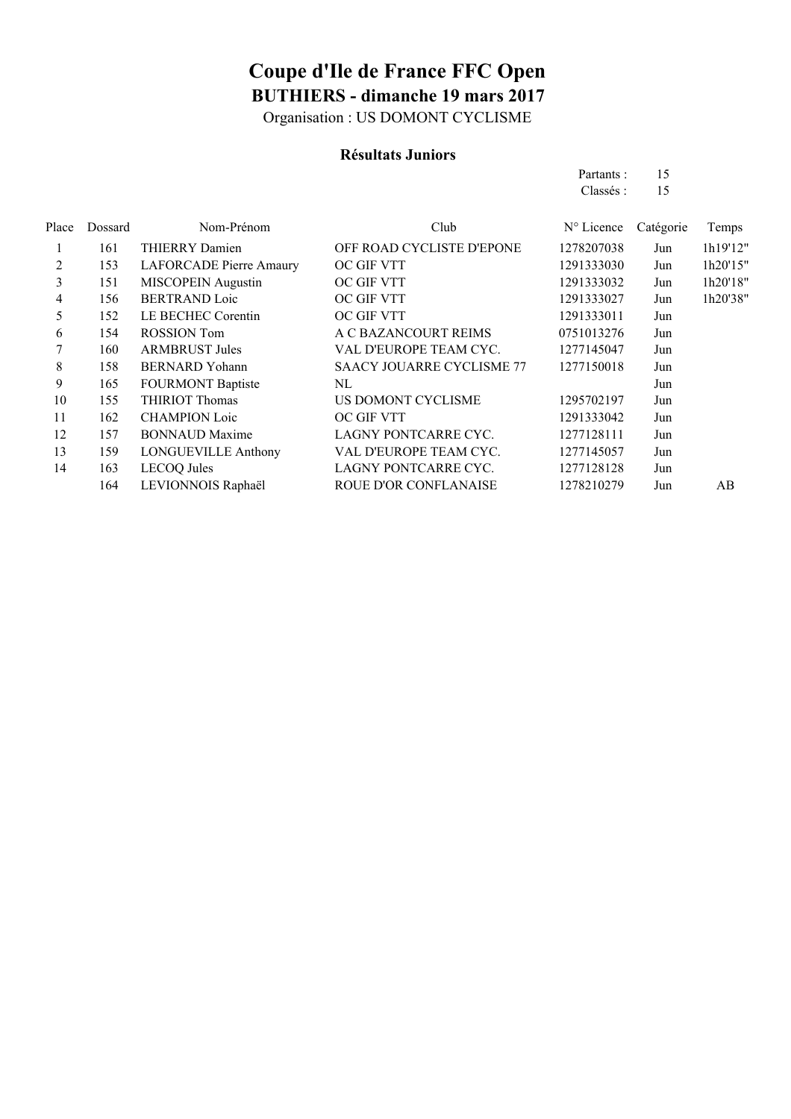Organisation : US DOMONT CYCLISME

#### **Résultats Juniors**

|               |                         |                           | Partants :<br>Classés :       | -15<br>-15 |          |
|---------------|-------------------------|---------------------------|-------------------------------|------------|----------|
| Place Dossard | Nom-Prénom              | Club                      | $N^{\circ}$ Licence Catégorie |            | Temps    |
| 161           | <b>THIERRY Damien</b>   | OFF ROAD CYCLISTE D'EPONE | 1278207038                    | Jun        | 1h19'12" |
| 153           | LAFORCADE Pierre Amaury | OC GIF VTT                | 1291333030                    | Jun        | 1h20'15" |
| 151           | MISCOPEIN Augustin      | OC GIF VTT                | 1291333032                    | Iun        | 1h20'18" |

| ∼  | 1 J J | LAT ORCADE 1 RHC Allianty  | OU UIL VII                       | 1471333030 | J UII | 1112012  |
|----|-------|----------------------------|----------------------------------|------------|-------|----------|
| 3  | 151   | <b>MISCOPEIN</b> Augustin  | OC GIF VTT                       | 1291333032 | Jun   | 1h20'18" |
| 4  | 156   | <b>BERTRAND Loic</b>       | OC GIF VTT                       | 1291333027 | Jun   | 1h20'38" |
| 5  | 152   | LE BECHEC Corentin         | OC GIF VTT                       | 1291333011 | Jun   |          |
| 6  | 154   | <b>ROSSION</b> Tom         | A C BAZANCOURT REIMS             | 0751013276 | Jun   |          |
|    | 160   | <b>ARMBRUST Jules</b>      | VAL D'EUROPE TEAM CYC.           | 1277145047 | Jun   |          |
| 8  | 158   | <b>BERNARD</b> Yohann      | <b>SAACY JOUARRE CYCLISME 77</b> | 1277150018 | Jun   |          |
| 9  | 165   | <b>FOURMONT Baptiste</b>   | NL                               |            | Jun   |          |
| 10 | 155   | <b>THIRIOT Thomas</b>      | US DOMONT CYCLISME               | 1295702197 | Jun   |          |
| 11 | 162   | <b>CHAMPION Loic</b>       | OC GIF VTT                       | 1291333042 | Jun   |          |
| 12 | 157   | <b>BONNAUD Maxime</b>      | LAGNY PONTCARRE CYC.             | 1277128111 | Jun   |          |
| 13 | 159   | <b>LONGUEVILLE Anthony</b> | VAL D'EUROPE TEAM CYC.           | 1277145057 | Jun   |          |
| 14 | 163   | <b>LECOQ</b> Jules         | LAGNY PONTCARRE CYC.             | 1277128128 | Jun   |          |
|    | 164   | LEVIONNOIS Raphaël         | <b>ROUE D'OR CONFLANAISE</b>     | 1278210279 | Jun   | AB       |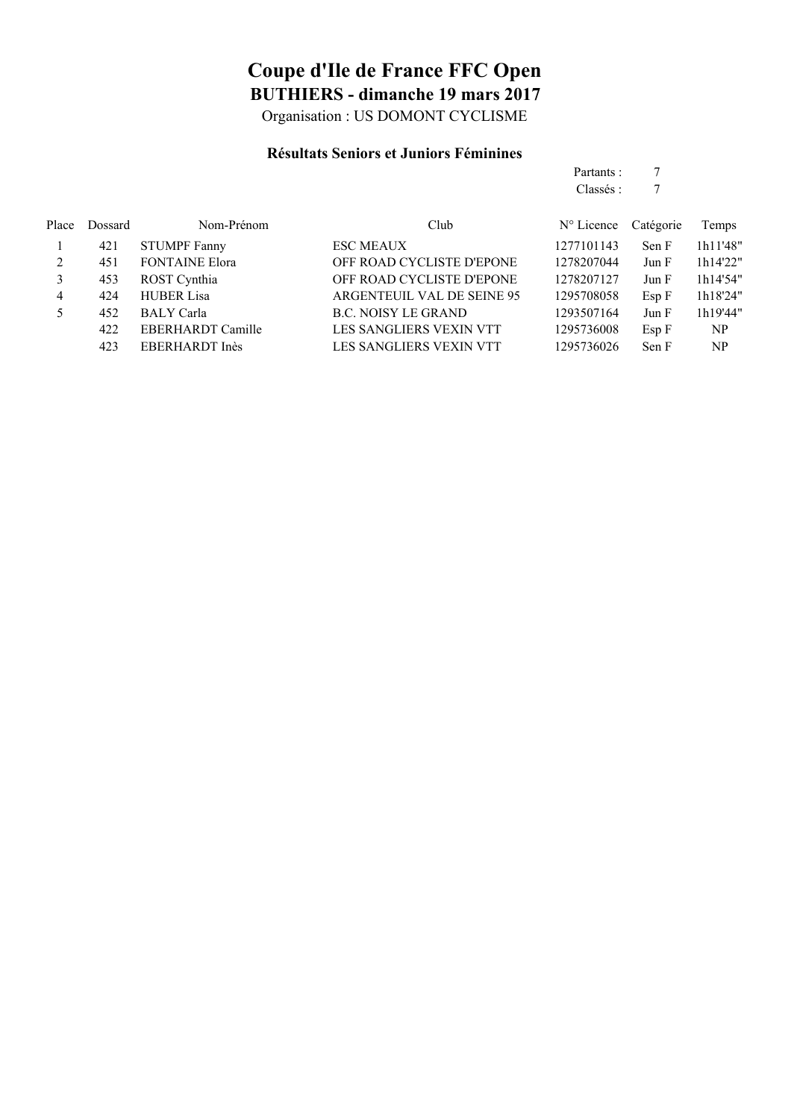Organisation : US DOMONT CYCLISME

### **Résultats Seniors et Juniors Féminines**

Partants : 7 Classés : 7

| Place | Dossard | Nom-Prénom            | Club                           | $N^{\circ}$ Licence | Catégorie | Temps          |
|-------|---------|-----------------------|--------------------------------|---------------------|-----------|----------------|
|       | 421     | <b>STUMPF Fanny</b>   | <b>ESC MEAUX</b>               | 1277101143          | Sen F     | 1h11'48"       |
|       | 451     | <b>FONTAINE Elora</b> | OFF ROAD CYCLISTE D'EPONE      | 1278207044          | Jun F     | 1h14'22"       |
|       | 453     | ROST Cynthia          | OFF ROAD CYCLISTE D'EPONE      | 1278207127          | Jun F     | 1h14'54"       |
| 4     | 424     | <b>HUBER Lisa</b>     | ARGENTEUIL VAL DE SEINE 95     | 1295708058          | Esp F     | 1h18'24"       |
|       | 452     | <b>BALY</b> Carla     | <b>B.C. NOISY LE GRAND</b>     | 1293507164          | Jun F     | 1h19'44"       |
|       | 422     | EBERHARDT Camille     | <b>LES SANGLIERS VEXIN VTT</b> | 1295736008          | Esp F     | <b>NP</b>      |
|       | 423     | EBERHARDT Inès        | <b>LES SANGLIERS VEXIN VTT</b> | 1295736026          | Sen F     | N <sub>P</sub> |
|       |         |                       |                                |                     |           |                |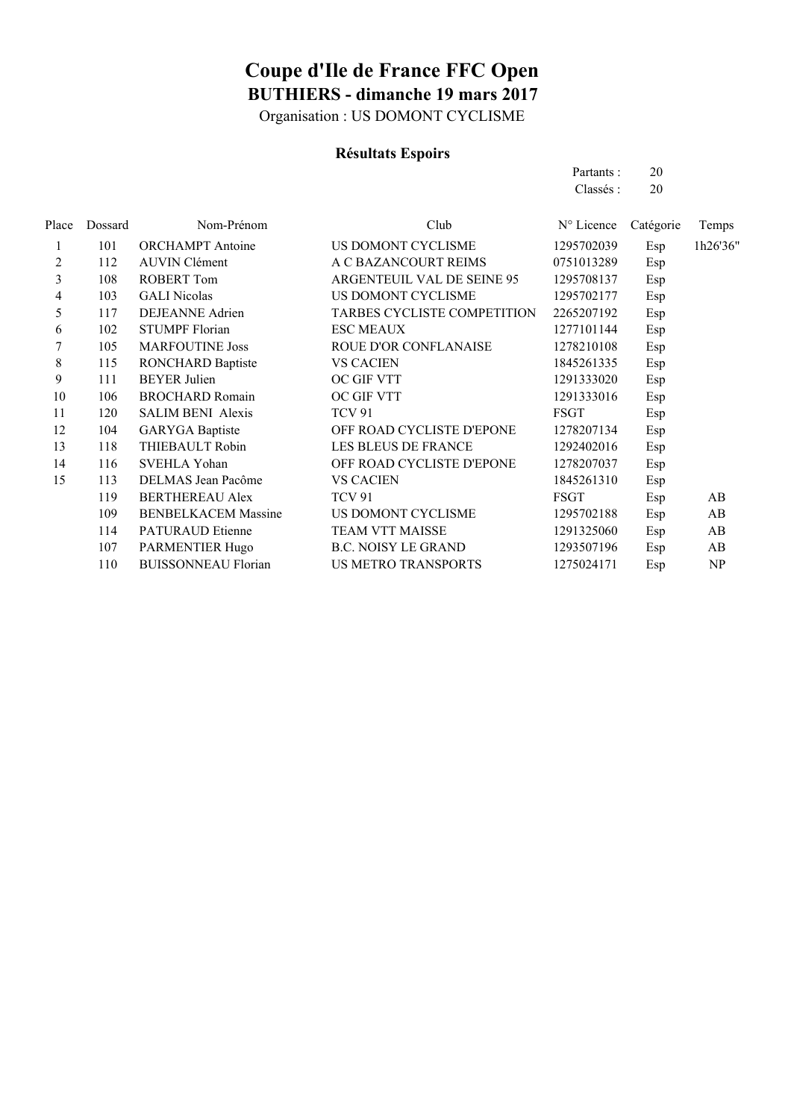Organisation : US DOMONT CYCLISME

### **Résultats Espoirs**

|       |         |                            |                             | Partants:   | 20        |          |
|-------|---------|----------------------------|-----------------------------|-------------|-----------|----------|
|       |         |                            |                             | Classés:    | 20        |          |
| Place | Dossard | Nom-Prénom                 | Club                        | N° Licence  | Catégorie | Temps    |
|       | 101     | <b>ORCHAMPT</b> Antoine    | US DOMONT CYCLISME          | 1295702039  | Esp       | 1h26'36" |
| 2     | 112     | <b>AUVIN Clément</b>       | A C BAZANCOURT REIMS        | 0751013289  | Esp       |          |
| 3     | 108     | <b>ROBERT Tom</b>          | ARGENTEUIL VAL DE SEINE 95  | 1295708137  | Esp       |          |
| 4     | 103     | <b>GALI Nicolas</b>        | US DOMONT CYCLISME          | 1295702177  | Esp       |          |
| 5     | 117     | <b>DEJEANNE Adrien</b>     | TARBES CYCLISTE COMPETITION | 2265207192  | Esp       |          |
| 6     | 102     | <b>STUMPF Florian</b>      | <b>ESC MEAUX</b>            | 1277101144  | Esp       |          |
| 7     | 105     | <b>MARFOUTINE Joss</b>     | ROUE D'OR CONFLANAISE       | 1278210108  | Esp       |          |
| 8     | 115     | <b>RONCHARD Baptiste</b>   | <b>VS CACIEN</b>            | 1845261335  | Esp       |          |
| 9     | 111     | <b>BEYER Julien</b>        | OC GIF VTT                  | 1291333020  | Esp       |          |
| 10    | 106     | <b>BROCHARD Romain</b>     | OC GIF VTT                  | 1291333016  | Esp       |          |
| 11    | 120     | <b>SALIM BENI Alexis</b>   | <b>TCV 91</b>               | <b>FSGT</b> | Esp       |          |
| 12    | 104     | <b>GARYGA</b> Baptiste     | OFF ROAD CYCLISTE D'EPONE   | 1278207134  | Esp       |          |
| 13    | 118     | THIEBAULT Robin            | <b>LES BLEUS DE FRANCE</b>  | 1292402016  | Esp       |          |
| 14    | 116     | SVEHLA Yohan               | OFF ROAD CYCLISTE D'EPONE   | 1278207037  | Esp       |          |
| 15    | 113     | DELMAS Jean Pacôme         | <b>VS CACIEN</b>            | 1845261310  | Esp       |          |
|       | 119     | <b>BERTHEREAU Alex</b>     | TCV 91                      | <b>FSGT</b> | Esp       | AB       |
|       | 109     | <b>BENBELKACEM Massine</b> | US DOMONT CYCLISME          | 1295702188  | Esp       | AB       |
|       | 114     | <b>PATURAUD Etienne</b>    | TEAM VTT MAISSE             | 1291325060  | Esp       | AB       |
|       | 107     | <b>PARMENTIER Hugo</b>     | <b>B.C. NOISY LE GRAND</b>  | 1293507196  | Esp       | AB       |
|       | 110     | <b>BUISSONNEAU Florian</b> | <b>US METRO TRANSPORTS</b>  | 1275024171  | Esp       | NP       |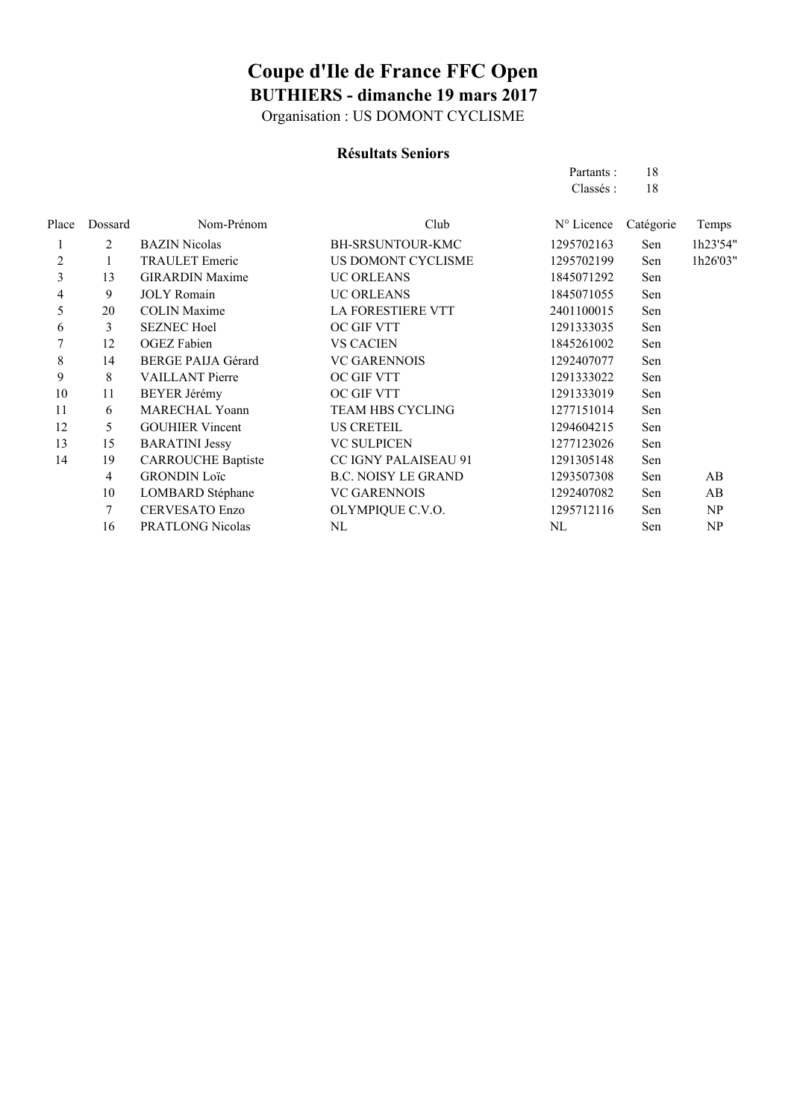Organisation : US DOMONT CYCLISME

### **Résultats Seniors**

|                |                           |                             | Partants:           | 18        |          |
|----------------|---------------------------|-----------------------------|---------------------|-----------|----------|
|                |                           |                             | Classés:            | 18        |          |
| Dossard        | Nom-Prénom                | Club                        | $N^{\circ}$ Licence | Catégorie | Temps    |
| 2              | <b>BAZIN</b> Nicolas      | BH-SRSUNTOUR-KMC            | 1295702163          | Sen       | 1h23'54" |
|                | <b>TRAULET</b> Emeric     | US DOMONT CYCLISME          | 1295702199          | Sen       | 1h26'03" |
| 13             | <b>GIRARDIN Maxime</b>    | <b>UC ORLEANS</b>           | 1845071292          | Sen       |          |
| 9              | <b>JOLY</b> Romain        | <b>UC ORLEANS</b>           | 1845071055          | Sen       |          |
| 20             | <b>COLIN Maxime</b>       | <b>LA FORESTIERE VTT</b>    | 2401100015          | Sen       |          |
| 3              | <b>SEZNEC Hoel</b>        | OC GIF VTT                  | 1291333035          | Sen       |          |
| 12             | <b>OGEZ</b> Fabien        | <b>VS CACIEN</b>            | 1845261002          | Sen       |          |
| 14             | <b>BERGE PAIJA Gérard</b> | <b>VC GARENNOIS</b>         | 1292407077          | Sen       |          |
| 8              | <b>VAILLANT</b> Pierre    | OC GIF VTT                  | 1291333022          | Sen       |          |
| 11             | <b>BEYER Jérémy</b>       | OC GIF VTT                  | 1291333019          | Sen       |          |
| 6              | <b>MARECHAL Yoann</b>     | TEAM HBS CYCLING            | 1277151014          | Sen       |          |
| 5              | <b>GOUHIER Vincent</b>    | <b>US CRETEIL</b>           | 1294604215          | Sen       |          |
| 15             | <b>BARATINI Jessy</b>     | <b>VC SULPICEN</b>          | 1277123026          | Sen       |          |
| 19             | <b>CARROUCHE Baptiste</b> | <b>CC IGNY PALAISEAU 91</b> | 1291305148          | Sen       |          |
| $\overline{4}$ | <b>GRONDIN Loïc</b>       | <b>B.C. NOISY LE GRAND</b>  | 1293507308          | Sen       | AB       |
| 10             | LOMBARD Stéphane          | <b>VC GARENNOIS</b>         | 1292407082          | Sen       | AB       |
| 7              | <b>CERVESATO Enzo</b>     | OLYMPIQUE C.V.O.            | 1295712116          | Sen       | NP       |
| 16             | PRATLONG Nicolas          | NL                          | NL                  | Sen       | NP       |
|                |                           |                             |                     |           |          |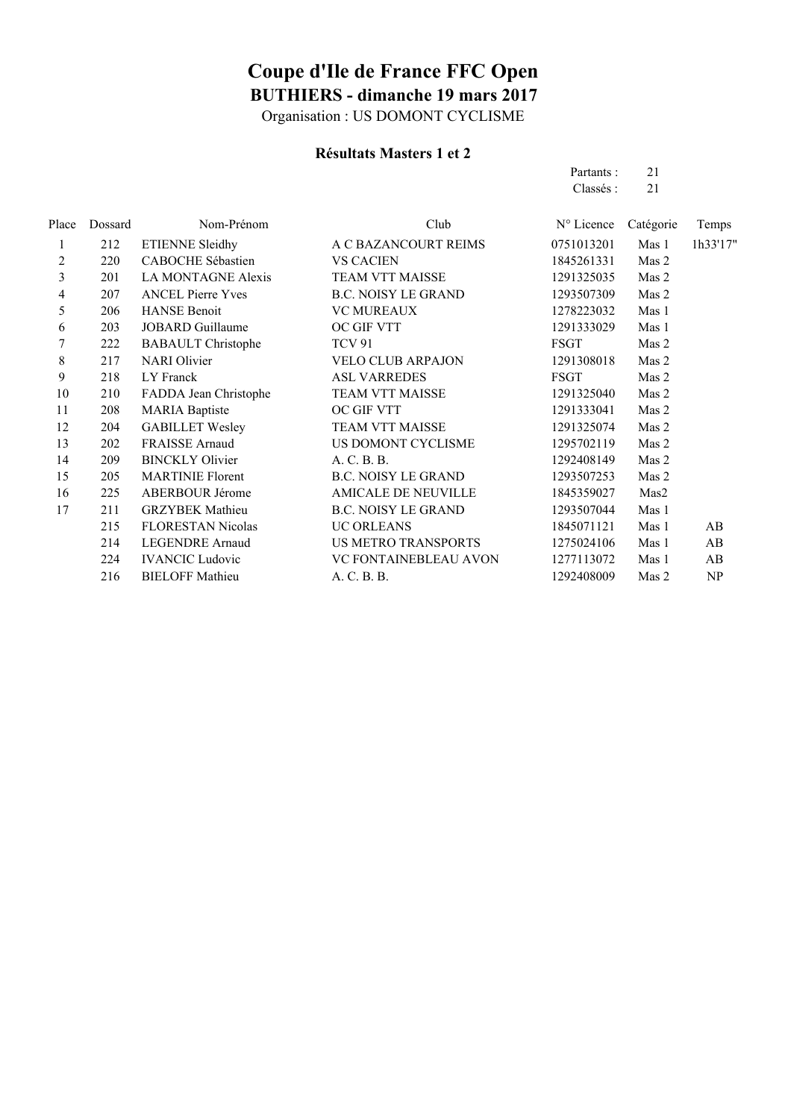Organisation : US DOMONT CYCLISME

### **Résultats Masters 1 et 2**

Partants : 21 Classés : 21

| Place | Dossard | Nom-Prénom                | Club                       | N° Licence  | Catégorie | Temps    |
|-------|---------|---------------------------|----------------------------|-------------|-----------|----------|
| 1     | 212     | <b>ETIENNE Sleidhy</b>    | A C BAZANCOURT REIMS       | 0751013201  | Mas 1     | 1h33'17" |
| 2     | 220     | CABOCHE Sébastien         | <b>VS CACIEN</b>           | 1845261331  | Mas 2     |          |
| 3     | 201     | LA MONTAGNE Alexis        | TEAM VTT MAISSE            | 1291325035  | Mas 2     |          |
| 4     | 207     | <b>ANCEL Pierre Yves</b>  | <b>B.C. NOISY LE GRAND</b> | 1293507309  | Mas 2     |          |
| 5     | 206     | <b>HANSE Benoit</b>       | <b>VC MUREAUX</b>          | 1278223032  | Mas 1     |          |
| 6     | 203     | <b>JOBARD</b> Guillaume   | OC GIF VTT                 | 1291333029  | Mas 1     |          |
| 7     | 222     | <b>BABAULT</b> Christophe | <b>TCV 91</b>              | <b>FSGT</b> | Mas 2     |          |
| 8     | 217     | <b>NARI</b> Olivier       | <b>VELO CLUB ARPAJON</b>   | 1291308018  | Mas 2     |          |
| 9     | 218     | LY Franck                 | <b>ASL VARREDES</b>        | <b>FSGT</b> | Mas 2     |          |
| 10    | 210     | FADDA Jean Christophe     | TEAM VTT MAISSE            | 1291325040  | Mas 2     |          |
| 11    | 208     | <b>MARIA Baptiste</b>     | OC GIF VTT                 | 1291333041  | Mas 2     |          |
| 12    | 204     | <b>GABILLET Wesley</b>    | TEAM VTT MAISSE            | 1291325074  | Mas 2     |          |
| 13    | 202     | <b>FRAISSE</b> Arnaud     | US DOMONT CYCLISME         | 1295702119  | Mas 2     |          |
| 14    | 209     | <b>BINCKLY Olivier</b>    | A. C. B. B.                | 1292408149  | Mas 2     |          |
| 15    | 205     | <b>MARTINIE Florent</b>   | <b>B.C. NOISY LE GRAND</b> | 1293507253  | Mas 2     |          |
| 16    | 225     | ABERBOUR Jérome           | <b>AMICALE DE NEUVILLE</b> | 1845359027  | Mas2      |          |
| 17    | 211     | <b>GRZYBEK Mathieu</b>    | <b>B.C. NOISY LE GRAND</b> | 1293507044  | Mas 1     |          |
|       | 215     | <b>FLORESTAN Nicolas</b>  | <b>UC ORLEANS</b>          | 1845071121  | Mas 1     | AB       |
|       | 214     | <b>LEGENDRE Arnaud</b>    | <b>US METRO TRANSPORTS</b> | 1275024106  | Mas 1     | AB       |
|       | 224     | <b>IVANCIC Ludovic</b>    | VC FONTAINEBLEAU AVON      | 1277113072  | Mas 1     | AB       |
|       | 216     | <b>BIELOFF Mathieu</b>    | A. C. B. B.                | 1292408009  | Mas 2     | NP       |
|       |         |                           |                            |             |           |          |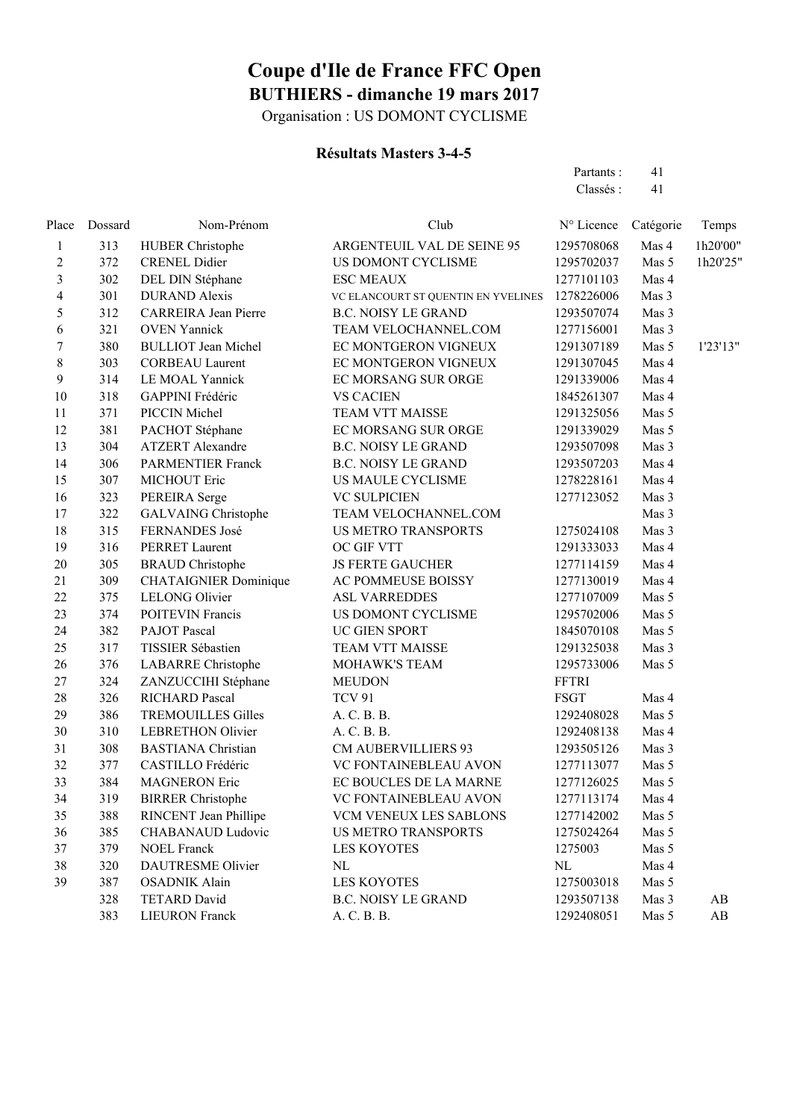Organisation : US DOMONT CYCLISME

### **Résultats Masters 3-4-5**

| Resultats Masters 3-4-5 |         |                         |                                       |                               |                    |          |  |
|-------------------------|---------|-------------------------|---------------------------------------|-------------------------------|--------------------|----------|--|
|                         |         |                         |                                       | Partants:                     | 41                 |          |  |
|                         |         |                         |                                       | Classés :                     | 41                 |          |  |
| Place                   | Dossard | Nom-Prénom              | Club                                  | $N^{\circ}$ Licence Catégorie |                    | Temps    |  |
|                         | 313     | <b>HUBER Christophe</b> | ARGENTEUIL VAL DE SEINE 95            | 1295708068                    | Mas 4              | 1h20'00" |  |
| 2                       | 372     | <b>CRENEL Didier</b>    | US DOMONT CYCLISME                    | 1295702037                    | Mas 5              | 1h20'25" |  |
| 3                       | 302     | DEL DIN Stéphane        | <b>ESC MEAUX</b>                      | 1277101103                    | Mas 4              |          |  |
|                         | 201     | DUD AND Alexie          | VC EL ANCOUDT ST OUENTIN EN VVEL INES | 127822606                     | $M_{\text{max}}$ 2 |          |  |

| $\mathbf{I}$     | 31 J | <b>HUDER CHISTOPHE</b>       | ANUENTEUIL VAL DE SEINE 93          | 1293/00000   | $Nias +$ | THZU UU                |
|------------------|------|------------------------------|-------------------------------------|--------------|----------|------------------------|
| $\overline{c}$   | 372  | <b>CRENEL Didier</b>         | US DOMONT CYCLISME                  | 1295702037   | Mas 5    | 1h20'25"               |
| 3                | 302  | DEL DIN Stéphane             | <b>ESC MEAUX</b>                    | 1277101103   | Mas 4    |                        |
| $\overline{4}$   | 301  | <b>DURAND</b> Alexis         | VC ELANCOURT ST QUENTIN EN YVELINES | 1278226006   | Mas 3    |                        |
| 5                | 312  | <b>CARREIRA</b> Jean Pierre  | <b>B.C. NOISY LE GRAND</b>          | 1293507074   | Mas 3    |                        |
| $\boldsymbol{6}$ | 321  | <b>OVEN Yannick</b>          | TEAM VELOCHANNEL.COM                | 1277156001   | Mas 3    |                        |
| $\boldsymbol{7}$ | 380  | <b>BULLIOT</b> Jean Michel   | EC MONTGERON VIGNEUX                | 1291307189   | Mas 5    | 1'23'13"               |
| $8\,$            | 303  | <b>CORBEAU Laurent</b>       | EC MONTGERON VIGNEUX                | 1291307045   | Mas 4    |                        |
| 9                | 314  | LE MOAL Yannick              | EC MORSANG SUR ORGE                 | 1291339006   | Mas 4    |                        |
| 10               | 318  | GAPPINI Frédéric             | <b>VS CACIEN</b>                    | 1845261307   | Mas 4    |                        |
| 11               | 371  | PICCIN Michel                | <b>TEAM VTT MAISSE</b>              | 1291325056   | Mas 5    |                        |
| 12               | 381  | PACHOT Stéphane              | EC MORSANG SUR ORGE                 | 1291339029   | Mas 5    |                        |
| 13               | 304  | <b>ATZERT</b> Alexandre      | <b>B.C. NOISY LE GRAND</b>          | 1293507098   | Mas 3    |                        |
| 14               | 306  | <b>PARMENTIER Franck</b>     | <b>B.C. NOISY LE GRAND</b>          | 1293507203   | Mas 4    |                        |
| 15               | 307  | MICHOUT Eric                 | US MAULE CYCLISME                   | 1278228161   | Mas 4    |                        |
| 16               | 323  | PEREIRA Serge                | <b>VC SULPICIEN</b>                 | 1277123052   | Mas 3    |                        |
| 17               | 322  | <b>GALVAING Christophe</b>   | TEAM VELOCHANNEL.COM                |              | Mas 3    |                        |
| 18               | 315  | FERNANDES José               | <b>US METRO TRANSPORTS</b>          | 1275024108   | Mas 3    |                        |
| 19               | 316  | PERRET Laurent               | OC GIF VTT                          | 1291333033   | Mas 4    |                        |
| $20\,$           | 305  | <b>BRAUD</b> Christophe      | <b>JS FERTE GAUCHER</b>             | 1277114159   | Mas 4    |                        |
| 21               | 309  | <b>CHATAIGNIER Dominique</b> | AC POMMEUSE BOISSY                  | 1277130019   | Mas 4    |                        |
| 22               | 375  | <b>LELONG Olivier</b>        | <b>ASL VARREDDES</b>                | 1277107009   | Mas 5    |                        |
| 23               | 374  | <b>POITEVIN Francis</b>      | US DOMONT CYCLISME                  | 1295702006   | Mas 5    |                        |
| 24               | 382  | PAJOT Pascal                 | UC GIEN SPORT                       | 1845070108   | Mas 5    |                        |
| 25               | 317  | TISSIER Sébastien            | <b>TEAM VTT MAISSE</b>              | 1291325038   | Mas 3    |                        |
| 26               | 376  | <b>LABARRE</b> Christophe    | MOHAWK'S TEAM                       | 1295733006   | Mas 5    |                        |
| 27               | 324  | ZANZUCCIHI Stéphane          | <b>MEUDON</b>                       | <b>FFTRI</b> |          |                        |
| 28               | 326  | RICHARD Pascal               | <b>TCV 91</b>                       | <b>FSGT</b>  | Mas 4    |                        |
| 29               | 386  | <b>TREMOUILLES Gilles</b>    | A. C. B. B.                         | 1292408028   | Mas 5    |                        |
| 30               | 310  | <b>LEBRETHON Olivier</b>     | A. C. B. B.                         | 1292408138   | Mas 4    |                        |
| 31               | 308  | <b>BASTIANA</b> Christian    | <b>CM AUBERVILLIERS 93</b>          | 1293505126   | Mas 3    |                        |
| 32               | 377  | CASTILLO Frédéric            | VC FONTAINEBLEAU AVON               | 1277113077   | Mas 5    |                        |
| 33               | 384  | <b>MAGNERON Eric</b>         | EC BOUCLES DE LA MARNE              | 1277126025   | Mas 5    |                        |
| 34               | 319  | <b>BIRRER Christophe</b>     | VC FONTAINEBLEAU AVON               | 1277113174   | Mas 4    |                        |
| 35               | 388  | RINCENT Jean Phillipe        | VCM VENEUX LES SABLONS              | 1277142002   | Mas 5    |                        |
| 36               | 385  | <b>CHABANAUD Ludovic</b>     | <b>US METRO TRANSPORTS</b>          | 1275024264   | Mas 5    |                        |
| 37               | 379  | <b>NOEL Franck</b>           | <b>LES KOYOTES</b>                  | 1275003      | Mas 5    |                        |
| 38               | 320  | <b>DAUTRESME Olivier</b>     | $\rm NL$                            | NL           | Mas 4    |                        |
| 39               | 387  | <b>OSADNIK Alain</b>         | <b>LES KOYOTES</b>                  | 1275003018   | Mas 5    |                        |
|                  | 328  | <b>TETARD David</b>          | <b>B.C. NOISY LE GRAND</b>          | 1293507138   | Mas 3    | $\mathbf{A}\mathbf{B}$ |
|                  | 383  | <b>LIEURON Franck</b>        | A. C. B. B.                         | 1292408051   | Mas 5    | AB                     |
|                  |      |                              |                                     |              |          |                        |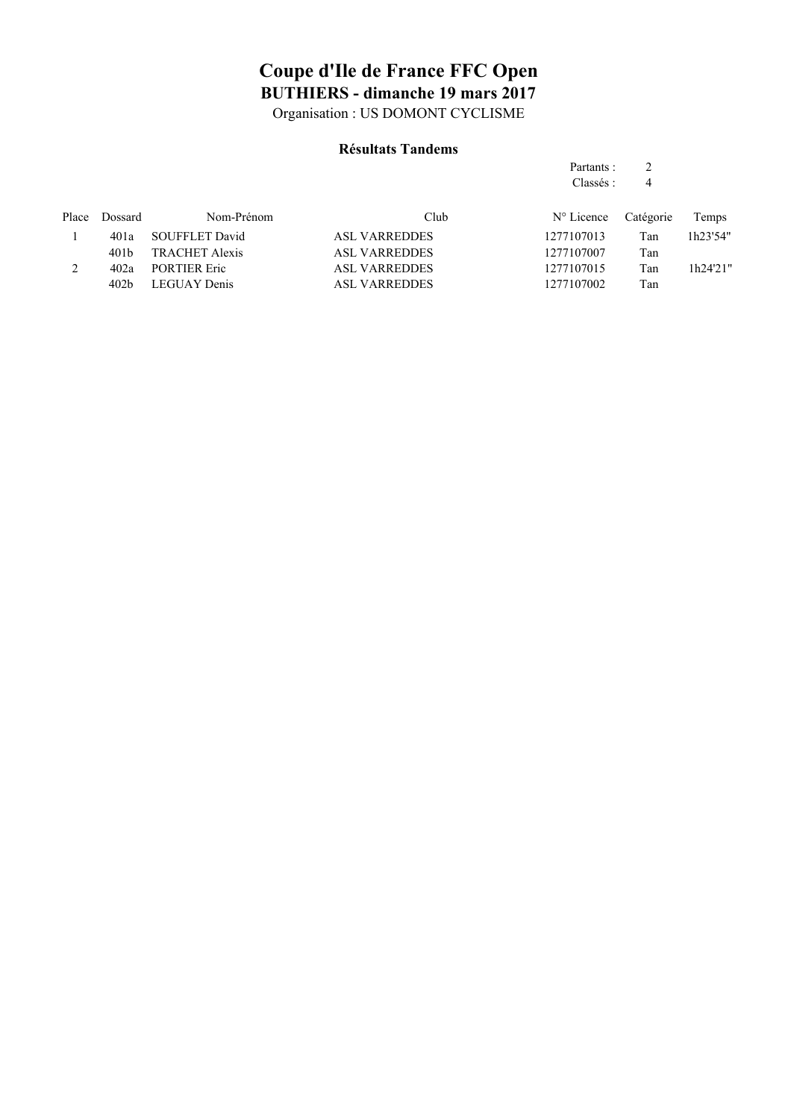Organisation : US DOMONT CYCLISME

#### **Résultats Tandems**

#### Partants : 2 Classés : 4

| Place | Dossard | Nom-Prénom          | Club.                | $N^{\circ}$ Licence | Catégorie | Temps    |
|-------|---------|---------------------|----------------------|---------------------|-----------|----------|
|       | 401a    | SOUFFLET David      | <b>ASL VARREDDES</b> | 1277107013          | Tan       | 1h23'54" |
|       | 401 b   | TRACHET Alexis      | <b>ASL VARREDDES</b> | 1277107007          | Tan       |          |
|       | 402a    | <b>PORTIER Eric</b> | <b>ASL VARREDDES</b> | 1277107015          | Tan       | 1h24'21" |
|       | 402b    | LEGUAY Denis        | <b>ASL VARREDDES</b> | 1277107002          | Tan       |          |